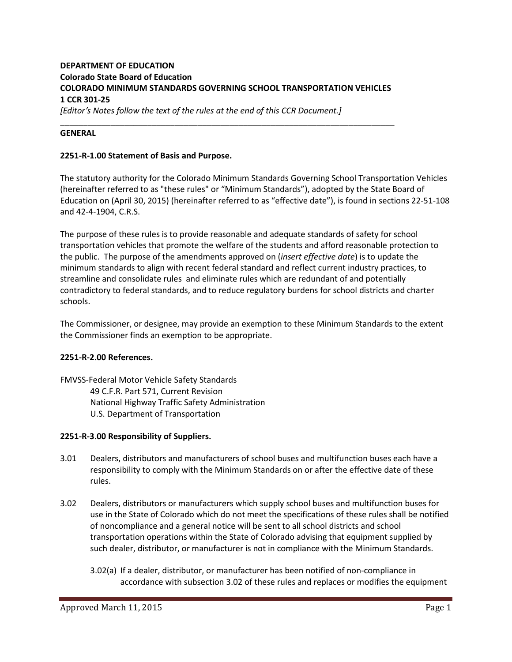# **DEPARTMENT OF EDUCATION Colorado State Board of Education COLORADO MINIMUM STANDARDS GOVERNING SCHOOL TRANSPORTATION VEHICLES 1 CCR 301-25** *[Editor's Notes follow the text of the rules at the end of this CCR Document.]*

\_\_\_\_\_\_\_\_\_\_\_\_\_\_\_\_\_\_\_\_\_\_\_\_\_\_\_\_\_\_\_\_\_\_\_\_\_\_\_\_\_\_\_\_\_\_\_\_\_\_\_\_\_\_\_\_\_\_\_\_\_\_\_\_\_\_\_\_\_\_\_\_\_

### **GENERAL**

### **2251-R-1.00 Statement of Basis and Purpose.**

The statutory authority for the Colorado Minimum Standards Governing School Transportation Vehicles (hereinafter referred to as "these rules" or "Minimum Standards"), adopted by the State Board of Education on (April 30, 2015) (hereinafter referred to as "effective date"), is found in sections 22-51-108 and 42-4-1904, C.R.S.

The purpose of these rules is to provide reasonable and adequate standards of safety for school transportation vehicles that promote the welfare of the students and afford reasonable protection to the public. The purpose of the amendments approved on (*insert effective date*) is to update the minimum standards to align with recent federal standard and reflect current industry practices, to streamline and consolidate rules and eliminate rules which are redundant of and potentially contradictory to federal standards, and to reduce regulatory burdens for school districts and charter schools.

The Commissioner, or designee, may provide an exemption to these Minimum Standards to the extent the Commissioner finds an exemption to be appropriate.

### **2251-R-2.00 References.**

FMVSS-Federal Motor Vehicle Safety Standards 49 C.F.R. Part 571, Current Revision National Highway Traffic Safety Administration U.S. Department of Transportation

### **2251-R-3.00 Responsibility of Suppliers.**

- 3.01 Dealers, distributors and manufacturers of school buses and multifunction buses each have a responsibility to comply with the Minimum Standards on or after the effective date of these rules.
- 3.02 Dealers, distributors or manufacturers which supply school buses and multifunction buses for use in the State of Colorado which do not meet the specifications of these rules shall be notified of noncompliance and a general notice will be sent to all school districts and school transportation operations within the State of Colorado advising that equipment supplied by such dealer, distributor, or manufacturer is not in compliance with the Minimum Standards.
	- 3.02(a) If a dealer, distributor, or manufacturer has been notified of non-compliance in accordance with subsection 3.02 of these rules and replaces or modifies the equipment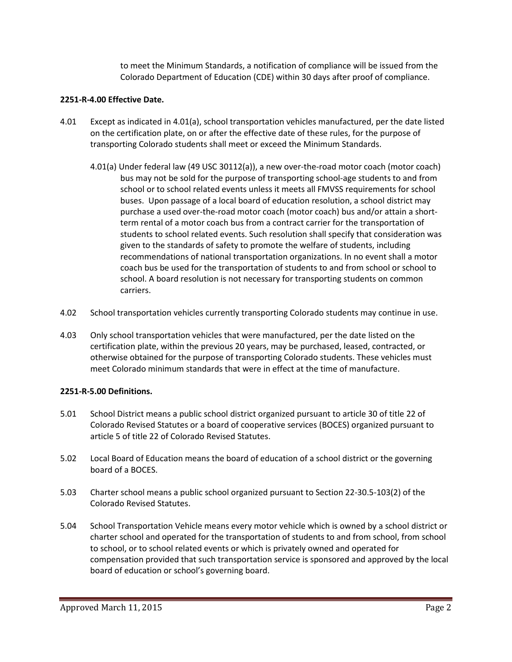to meet the Minimum Standards, a notification of compliance will be issued from the Colorado Department of Education (CDE) within 30 days after proof of compliance.

### **2251-R-4.00 Effective Date.**

- 4.01 Except as indicated in 4.01(a), school transportation vehicles manufactured, per the date listed on the certification plate, on or after the effective date of these rules, for the purpose of transporting Colorado students shall meet or exceed the Minimum Standards.
	- 4.01(a) Under federal law (49 USC 30112(a)), a new over-the-road motor coach (motor coach) bus may not be sold for the purpose of transporting school-age students to and from school or to school related events unless it meets all FMVSS requirements for school buses. Upon passage of a local board of education resolution, a school district may purchase a used over-the-road motor coach (motor coach) bus and/or attain a shortterm rental of a motor coach bus from a contract carrier for the transportation of students to school related events. Such resolution shall specify that consideration was given to the standards of safety to promote the welfare of students, including recommendations of national transportation organizations. In no event shall a motor coach bus be used for the transportation of students to and from school or school to school. A board resolution is not necessary for transporting students on common carriers.
- 4.02 School transportation vehicles currently transporting Colorado students may continue in use.
- 4.03 Only school transportation vehicles that were manufactured, per the date listed on the certification plate, within the previous 20 years, may be purchased, leased, contracted, or otherwise obtained for the purpose of transporting Colorado students. These vehicles must meet Colorado minimum standards that were in effect at the time of manufacture.

# **2251-R-5.00 Definitions.**

- 5.01 School District means a public school district organized pursuant to article 30 of title 22 of Colorado Revised Statutes or a board of cooperative services (BOCES) organized pursuant to article 5 of title 22 of Colorado Revised Statutes.
- 5.02 Local Board of Education means the board of education of a school district or the governing board of a BOCES.
- 5.03 Charter school means a public school organized pursuant to Section 22-30.5-103(2) of the Colorado Revised Statutes.
- 5.04 School Transportation Vehicle means every motor vehicle which is owned by a school district or charter school and operated for the transportation of students to and from school, from school to school, or to school related events or which is privately owned and operated for compensation provided that such transportation service is sponsored and approved by the local board of education or school's governing board.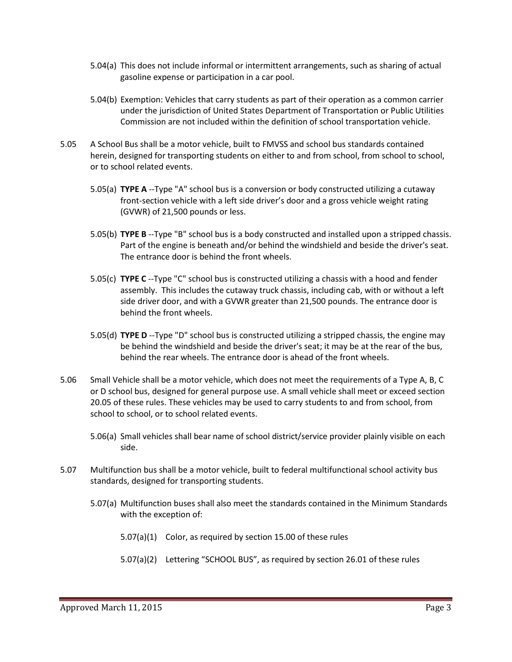- 5.04(a) This does not include informal or intermittent arrangements, such as sharing of actual gasoline expense or participation in a car pool.
- 5.04(b) Exemption: Vehicles that carry students as part of their operation as a common carrier under the jurisdiction of United States Department of Transportation or Public Utilities Commission are not included within the definition of school transportation vehicle.
- 5.05 A School Bus shall be a motor vehicle, built to FMVSS and school bus standards contained herein, designed for transporting students on either to and from school, from school to school, or to school related events.
	- 5.05(a) **TYPE A** --Type "A" school bus is a conversion or body constructed utilizing a cutaway front-section vehicle with a left side driver's door and a gross vehicle weight rating (GVWR) of 21,500 pounds or less.
	- 5.05(b) **TYPE B** --Type "B" school bus is a body constructed and installed upon a stripped chassis. Part of the engine is beneath and/or behind the windshield and beside the driver's seat. The entrance door is behind the front wheels.
	- 5.05(c) **TYPE C** --Type "C" school bus is constructed utilizing a chassis with a hood and fender assembly. This includes the cutaway truck chassis, including cab, with or without a left side driver door, and with a GVWR greater than 21,500 pounds. The entrance door is behind the front wheels.
	- 5.05(d) **TYPE D** --Type "D" school bus is constructed utilizing a stripped chassis, the engine may be behind the windshield and beside the driver's seat; it may be at the rear of the bus, behind the rear wheels. The entrance door is ahead of the front wheels.
- 5.06 Small Vehicle shall be a motor vehicle, which does not meet the requirements of a Type A, B, C or D school bus, designed for general purpose use. A small vehicle shall meet or exceed section 20.05 of these rules. These vehicles may be used to carry students to and from school, from school to school, or to school related events.
	- 5.06(a) Small vehicles shall bear name of school district/service provider plainly visible on each side.
- 5.07 Multifunction bus shall be a motor vehicle, built to federal multifunctional school activity bus standards, designed for transporting students.
	- 5.07(a) Multifunction buses shall also meet the standards contained in the Minimum Standards with the exception of:
		- 5.07(a)(1) Color, as required by section 15.00 of these rules
		- 5.07(a)(2) Lettering "SCHOOL BUS", as required by section 26.01 of these rules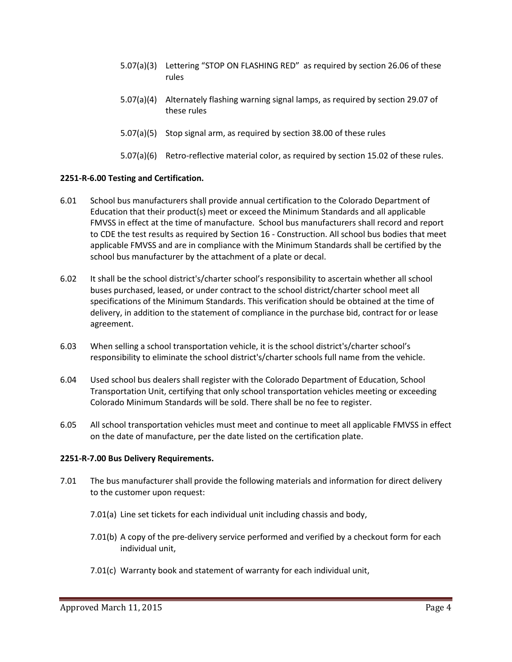- 5.07(a)(3) Lettering "STOP ON FLASHING RED" as required by section 26.06 of these rules
- 5.07(a)(4) Alternately flashing warning signal lamps, as required by section 29.07 of these rules
- 5.07(a)(5) Stop signal arm, as required by section 38.00 of these rules
- 5.07(a)(6) Retro-reflective material color, as required by section 15.02 of these rules.

### **2251-R-6.00 Testing and Certification.**

- 6.01 School bus manufacturers shall provide annual certification to the Colorado Department of Education that their product(s) meet or exceed the Minimum Standards and all applicable FMVSS in effect at the time of manufacture. School bus manufacturers shall record and report to CDE the test results as required by Section 16 - Construction. All school bus bodies that meet applicable FMVSS and are in compliance with the Minimum Standards shall be certified by the school bus manufacturer by the attachment of a plate or decal.
- 6.02 It shall be the school district's/charter school's responsibility to ascertain whether all school buses purchased, leased, or under contract to the school district/charter school meet all specifications of the Minimum Standards. This verification should be obtained at the time of delivery, in addition to the statement of compliance in the purchase bid, contract for or lease agreement.
- 6.03 When selling a school transportation vehicle, it is the school district's/charter school's responsibility to eliminate the school district's/charter schools full name from the vehicle.
- 6.04 Used school bus dealers shall register with the Colorado Department of Education, School Transportation Unit, certifying that only school transportation vehicles meeting or exceeding Colorado Minimum Standards will be sold. There shall be no fee to register.
- 6.05 All school transportation vehicles must meet and continue to meet all applicable FMVSS in effect on the date of manufacture, per the date listed on the certification plate.

### **2251-R-7.00 Bus Delivery Requirements.**

- 7.01 The bus manufacturer shall provide the following materials and information for direct delivery to the customer upon request:
	- 7.01(a) Line set tickets for each individual unit including chassis and body,
	- 7.01(b) A copy of the pre-delivery service performed and verified by a checkout form for each individual unit,
	- 7.01(c) Warranty book and statement of warranty for each individual unit,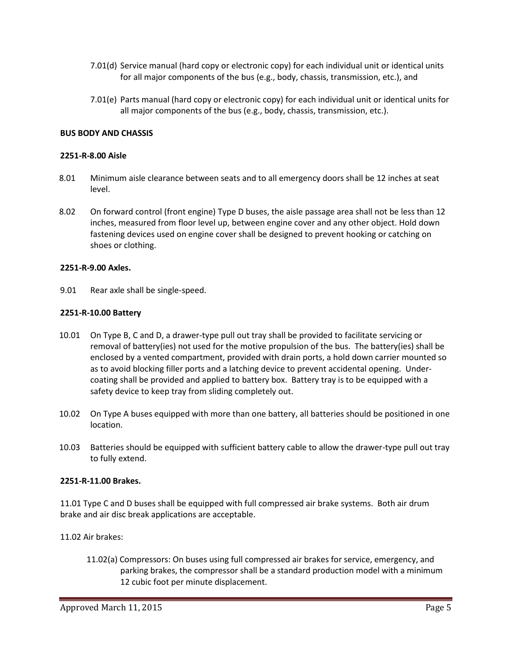- 7.01(d) Service manual (hard copy or electronic copy) for each individual unit or identical units for all major components of the bus (e.g., body, chassis, transmission, etc.), and
- 7.01(e) Parts manual (hard copy or electronic copy) for each individual unit or identical units for all major components of the bus (e.g., body, chassis, transmission, etc.).

### **BUS BODY AND CHASSIS**

#### **2251-R-8.00 Aisle**

- 8.01 Minimum aisle clearance between seats and to all emergency doors shall be 12 inches at seat level.
- 8.02 On forward control (front engine) Type D buses, the aisle passage area shall not be less than 12 inches, measured from floor level up, between engine cover and any other object. Hold down fastening devices used on engine cover shall be designed to prevent hooking or catching on shoes or clothing.

#### **2251-R-9.00 Axles.**

9.01 Rear axle shall be single-speed.

#### **2251-R-10.00 Battery**

- 10.01 On Type B, C and D, a drawer-type pull out tray shall be provided to facilitate servicing or removal of battery(ies) not used for the motive propulsion of the bus. The battery(ies) shall be enclosed by a vented compartment, provided with drain ports, a hold down carrier mounted so as to avoid blocking filler ports and a latching device to prevent accidental opening. Undercoating shall be provided and applied to battery box. Battery tray is to be equipped with a safety device to keep tray from sliding completely out.
- 10.02 On Type A buses equipped with more than one battery, all batteries should be positioned in one location.
- 10.03 Batteries should be equipped with sufficient battery cable to allow the drawer-type pull out tray to fully extend.

### **2251-R-11.00 Brakes.**

11.01 Type C and D buses shall be equipped with full compressed air brake systems. Both air drum brake and air disc break applications are acceptable.

### 11.02 Air brakes:

11.02(a) Compressors: On buses using full compressed air brakes for service, emergency, and parking brakes, the compressor shall be a standard production model with a minimum 12 cubic foot per minute displacement.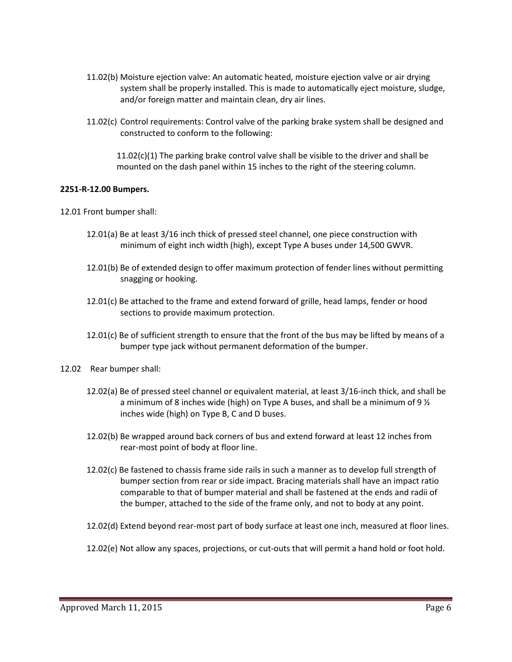- 11.02(b) Moisture ejection valve: An automatic heated, moisture ejection valve or air drying system shall be properly installed. This is made to automatically eject moisture, sludge, and/or foreign matter and maintain clean, dry air lines.
- 11.02(c) Control requirements: Control valve of the parking brake system shall be designed and constructed to conform to the following:

 $11.02(c)(1)$  The parking brake control valve shall be visible to the driver and shall be mounted on the dash panel within 15 inches to the right of the steering column.

### **2251-R-12.00 Bumpers.**

12.01 Front bumper shall:

- 12.01(a) Be at least 3/16 inch thick of pressed steel channel, one piece construction with minimum of eight inch width (high), except Type A buses under 14,500 GWVR.
- 12.01(b) Be of extended design to offer maximum protection of fender lines without permitting snagging or hooking.
- 12.01(c) Be attached to the frame and extend forward of grille, head lamps, fender or hood sections to provide maximum protection.
- 12.01(c) Be of sufficient strength to ensure that the front of the bus may be lifted by means of a bumper type jack without permanent deformation of the bumper.
- 12.02 Rear bumper shall:
	- 12.02(a) Be of pressed steel channel or equivalent material, at least 3/16-inch thick, and shall be a minimum of 8 inches wide (high) on Type A buses, and shall be a minimum of 9  $\frac{1}{2}$ inches wide (high) on Type B, C and D buses.
	- 12.02(b) Be wrapped around back corners of bus and extend forward at least 12 inches from rear-most point of body at floor line.
	- 12.02(c) Be fastened to chassis frame side rails in such a manner as to develop full strength of bumper section from rear or side impact. Bracing materials shall have an impact ratio comparable to that of bumper material and shall be fastened at the ends and radii of the bumper, attached to the side of the frame only, and not to body at any point.
	- 12.02(d) Extend beyond rear-most part of body surface at least one inch, measured at floor lines.
	- 12.02(e) Not allow any spaces, projections, or cut-outs that will permit a hand hold or foot hold.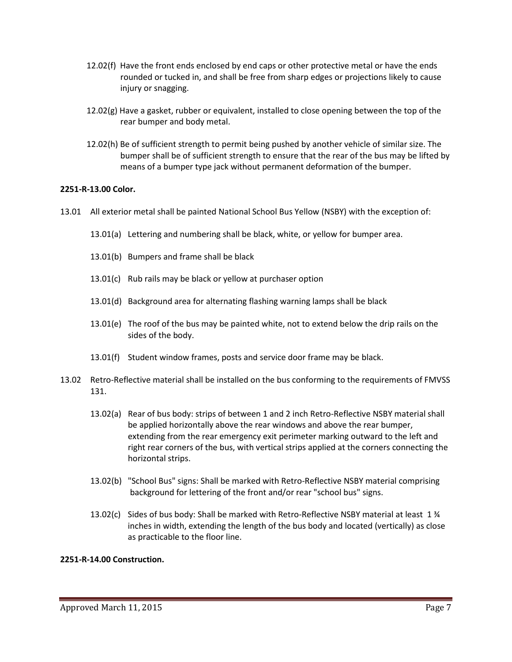- 12.02(f) Have the front ends enclosed by end caps or other protective metal or have the ends rounded or tucked in, and shall be free from sharp edges or projections likely to cause injury or snagging.
- 12.02(g) Have a gasket, rubber or equivalent, installed to close opening between the top of the rear bumper and body metal.
- 12.02(h) Be of sufficient strength to permit being pushed by another vehicle of similar size. The bumper shall be of sufficient strength to ensure that the rear of the bus may be lifted by means of a bumper type jack without permanent deformation of the bumper.

### **2251-R-13.00 Color.**

- 13.01 All exterior metal shall be painted National School Bus Yellow (NSBY) with the exception of:
	- 13.01(a) Lettering and numbering shall be black, white, or yellow for bumper area.
	- 13.01(b) Bumpers and frame shall be black
	- 13.01(c) Rub rails may be black or yellow at purchaser option
	- 13.01(d) Background area for alternating flashing warning lamps shall be black
	- 13.01(e) The roof of the bus may be painted white, not to extend below the drip rails on the sides of the body.
	- 13.01(f) Student window frames, posts and service door frame may be black.
- 13.02 Retro-Reflective material shall be installed on the bus conforming to the requirements of FMVSS 131.
	- 13.02(a) Rear of bus body: strips of between 1 and 2 inch Retro-Reflective NSBY material shall be applied horizontally above the rear windows and above the rear bumper, extending from the rear emergency exit perimeter marking outward to the left and right rear corners of the bus, with vertical strips applied at the corners connecting the horizontal strips.
	- 13.02(b) "School Bus" signs: Shall be marked with Retro-Reflective NSBY material comprising background for lettering of the front and/or rear "school bus" signs.
	- 13.02(c) Sides of bus body: Shall be marked with Retro-Reflective NSBY material at least 1 ¾ inches in width, extending the length of the bus body and located (vertically) as close as practicable to the floor line.

### **2251-R-14.00 Construction.**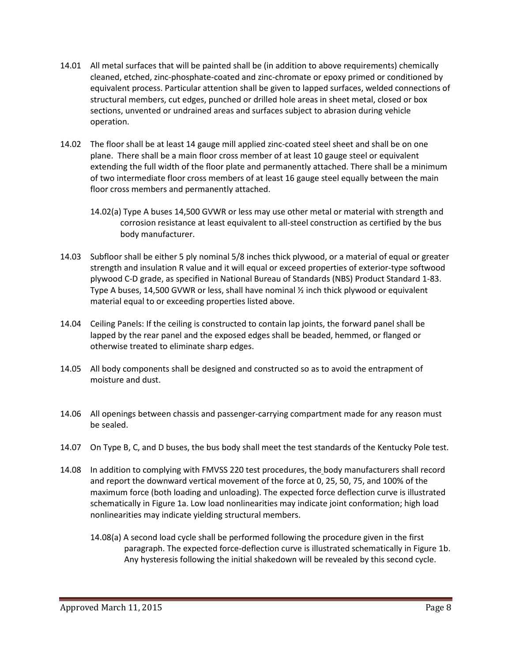- 14.01 All metal surfaces that will be painted shall be (in addition to above requirements) chemically cleaned, etched, zinc-phosphate-coated and zinc-chromate or epoxy primed or conditioned by equivalent process. Particular attention shall be given to lapped surfaces, welded connections of structural members, cut edges, punched or drilled hole areas in sheet metal, closed or box sections, unvented or undrained areas and surfaces subject to abrasion during vehicle operation.
- 14.02 The floor shall be at least 14 gauge mill applied zinc-coated steel sheet and shall be on one plane. There shall be a main floor cross member of at least 10 gauge steel or equivalent extending the full width of the floor plate and permanently attached. There shall be a minimum of two intermediate floor cross members of at least 16 gauge steel equally between the main floor cross members and permanently attached.
	- 14.02(a) Type A buses 14,500 GVWR or less may use other metal or material with strength and corrosion resistance at least equivalent to all-steel construction as certified by the bus body manufacturer.
- 14.03 Subfloor shall be either 5 ply nominal 5/8 inches thick plywood, or a material of equal or greater strength and insulation R value and it will equal or exceed properties of exterior-type softwood plywood C-D grade, as specified in National Bureau of Standards (NBS) Product Standard 1-83. Type A buses, 14,500 GVWR or less, shall have nominal ½ inch thick plywood or equivalent material equal to or exceeding properties listed above.
- 14.04 Ceiling Panels: If the ceiling is constructed to contain lap joints, the forward panel shall be lapped by the rear panel and the exposed edges shall be beaded, hemmed, or flanged or otherwise treated to eliminate sharp edges.
- 14.05 All body components shall be designed and constructed so as to avoid the entrapment of moisture and dust.
- 14.06 All openings between chassis and passenger-carrying compartment made for any reason must be sealed.
- 14.07 On Type B, C, and D buses, the bus body shall meet the test standards of the Kentucky Pole test.
- 14.08 In addition to complying with FMVSS 220 test procedures, the body manufacturers shall record and report the downward vertical movement of the force at 0, 25, 50, 75, and 100% of the maximum force (both loading and unloading). The expected force deflection curve is illustrated schematically in Figure 1a. Low load nonlinearities may indicate joint conformation; high load nonlinearities may indicate yielding structural members.
	- 14.08(a) A second load cycle shall be performed following the procedure given in the first paragraph. The expected force-deflection curve is illustrated schematically in Figure 1b. Any hysteresis following the initial shakedown will be revealed by this second cycle.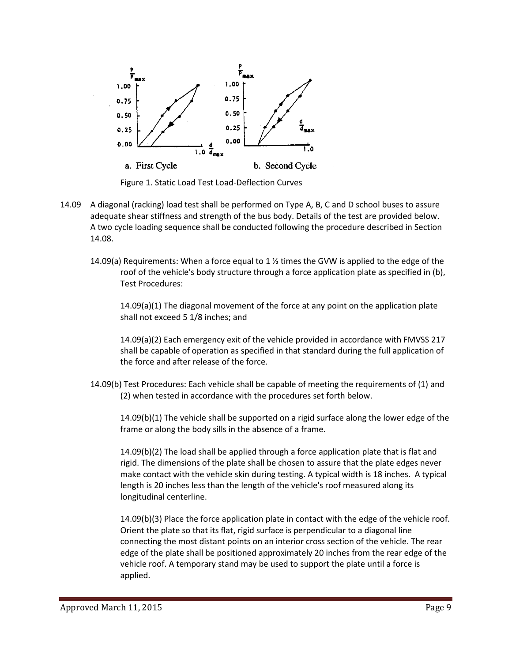

- 14.09 A diagonal (racking) load test shall be performed on Type A, B, C and D school buses to assure adequate shear stiffness and strength of the bus body. Details of the test are provided below. A two cycle loading sequence shall be conducted following the procedure described in Section 14.08.
	- 14.09(a) Requirements: When a force equal to 1  $\frac{1}{2}$  times the GVW is applied to the edge of the roof of the vehicle's body structure through a force application plate as specified in (b), Test Procedures:

14.09(a)(1) The diagonal movement of the force at any point on the application plate shall not exceed 5 1/8 inches; and

14.09(a)(2) Each emergency exit of the vehicle provided in accordance with FMVSS 217 shall be capable of operation as specified in that standard during the full application of the force and after release of the force.

14.09(b) Test Procedures: Each vehicle shall be capable of meeting the requirements of (1) and (2) when tested in accordance with the procedures set forth below.

14.09(b)(1) The vehicle shall be supported on a rigid surface along the lower edge of the frame or along the body sills in the absence of a frame.

14.09(b)(2) The load shall be applied through a force application plate that is flat and rigid. The dimensions of the plate shall be chosen to assure that the plate edges never make contact with the vehicle skin during testing. A typical width is 18 inches. A typical length is 20 inches less than the length of the vehicle's roof measured along its longitudinal centerline.

14.09(b)(3) Place the force application plate in contact with the edge of the vehicle roof. Orient the plate so that its flat, rigid surface is perpendicular to a diagonal line connecting the most distant points on an interior cross section of the vehicle. The rear edge of the plate shall be positioned approximately 20 inches from the rear edge of the vehicle roof. A temporary stand may be used to support the plate until a force is applied.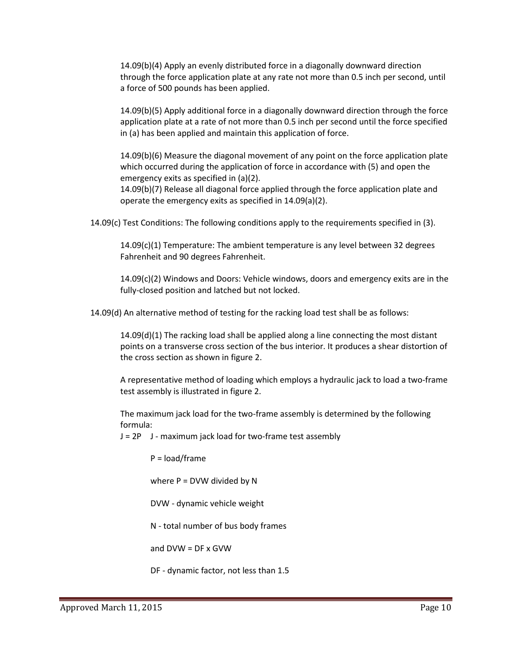14.09(b)(4) Apply an evenly distributed force in a diagonally downward direction through the force application plate at any rate not more than 0.5 inch per second, until a force of 500 pounds has been applied.

14.09(b)(5) Apply additional force in a diagonally downward direction through the force application plate at a rate of not more than 0.5 inch per second until the force specified in (a) has been applied and maintain this application of force.

14.09(b)(6) Measure the diagonal movement of any point on the force application plate which occurred during the application of force in accordance with (5) and open the emergency exits as specified in (a)(2).

14.09(b)(7) Release all diagonal force applied through the force application plate and operate the emergency exits as specified in 14.09(a)(2).

14.09(c) Test Conditions: The following conditions apply to the requirements specified in (3).

14.09(c)(1) Temperature: The ambient temperature is any level between 32 degrees Fahrenheit and 90 degrees Fahrenheit.

14.09(c)(2) Windows and Doors: Vehicle windows, doors and emergency exits are in the fully-closed position and latched but not locked.

14.09(d) An alternative method of testing for the racking load test shall be as follows:

14.09(d)(1) The racking load shall be applied along a line connecting the most distant points on a transverse cross section of the bus interior. It produces a shear distortion of the cross section as shown in figure 2.

A representative method of loading which employs a hydraulic jack to load a two-frame test assembly is illustrated in figure 2.

The maximum jack load for the two-frame assembly is determined by the following formula:

J = 2P J - maximum jack load for two-frame test assembly

P = load/frame

where  $P = DVM$  divided by N

DVW - dynamic vehicle weight

N - total number of bus body frames

and DVW = DF x GVW

DF - dynamic factor, not less than 1.5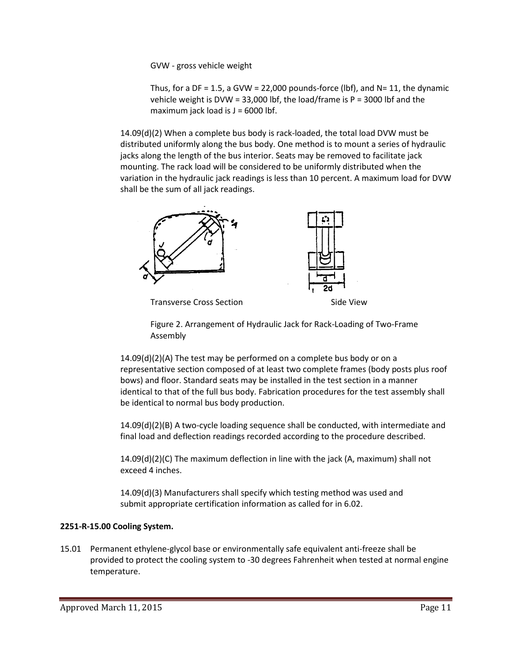GVW - gross vehicle weight

Thus, for a DF = 1.5, a GVW = 22,000 pounds-force (lbf), and  $N = 11$ , the dynamic vehicle weight is DVW = 33,000 lbf, the load/frame is P = 3000 lbf and the maximum jack load is  $J = 6000$  lbf.

14.09(d)(2) When a complete bus body is rack-loaded, the total load DVW must be distributed uniformly along the bus body. One method is to mount a series of hydraulic jacks along the length of the bus interior. Seats may be removed to facilitate jack mounting. The rack load will be considered to be uniformly distributed when the variation in the hydraulic jack readings is less than 10 percent. A maximum load for DVW shall be the sum of all jack readings.



Transverse Cross Section National Side View

Figure 2. Arrangement of Hydraulic Jack for Rack-Loading of Two-Frame Assembly

14.09(d)(2)(A) The test may be performed on a complete bus body or on a representative section composed of at least two complete frames (body posts plus roof bows) and floor. Standard seats may be installed in the test section in a manner identical to that of the full bus body. Fabrication procedures for the test assembly shall be identical to normal bus body production.

14.09(d)(2)(B) A two-cycle loading sequence shall be conducted, with intermediate and final load and deflection readings recorded according to the procedure described.

14.09(d)(2)(C) The maximum deflection in line with the jack (A, maximum) shall not exceed 4 inches.

14.09(d)(3) Manufacturers shall specify which testing method was used and submit appropriate certification information as called for in 6.02.

### **2251-R-15.00 Cooling System.**

15.01 Permanent ethylene-glycol base or environmentally safe equivalent anti-freeze shall be provided to protect the cooling system to -30 degrees Fahrenheit when tested at normal engine temperature.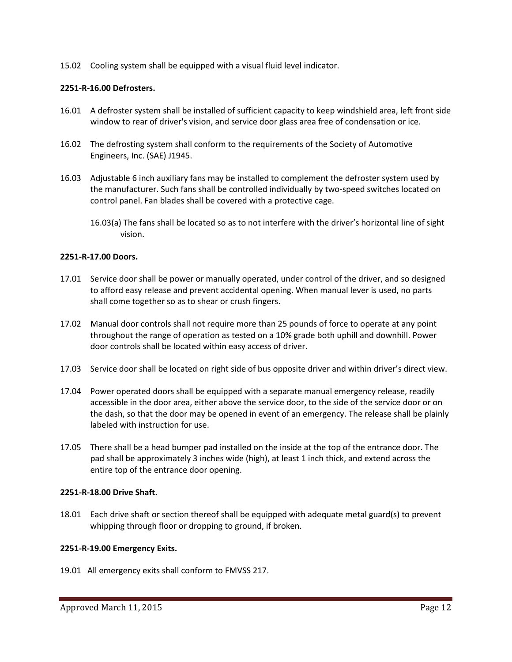15.02 Cooling system shall be equipped with a visual fluid level indicator.

### **2251-R-16.00 Defrosters.**

- 16.01 A defroster system shall be installed of sufficient capacity to keep windshield area, left front side window to rear of driver's vision, and service door glass area free of condensation or ice.
- 16.02 The defrosting system shall conform to the requirements of the Society of Automotive Engineers, Inc. (SAE) J1945.
- 16.03 Adjustable 6 inch auxiliary fans may be installed to complement the defroster system used by the manufacturer. Such fans shall be controlled individually by two-speed switches located on control panel. Fan blades shall be covered with a protective cage.
	- 16.03(a) The fans shall be located so as to not interfere with the driver's horizontal line of sight vision.

### **2251-R-17.00 Doors.**

- 17.01 Service door shall be power or manually operated, under control of the driver, and so designed to afford easy release and prevent accidental opening. When manual lever is used, no parts shall come together so as to shear or crush fingers.
- 17.02 Manual door controls shall not require more than 25 pounds of force to operate at any point throughout the range of operation as tested on a 10% grade both uphill and downhill. Power door controls shall be located within easy access of driver.
- 17.03 Service door shall be located on right side of bus opposite driver and within driver's direct view.
- 17.04 Power operated doors shall be equipped with a separate manual emergency release, readily accessible in the door area, either above the service door, to the side of the service door or on the dash, so that the door may be opened in event of an emergency. The release shall be plainly labeled with instruction for use.
- 17.05 There shall be a head bumper pad installed on the inside at the top of the entrance door. The pad shall be approximately 3 inches wide (high), at least 1 inch thick, and extend across the entire top of the entrance door opening.

### **2251-R-18.00 Drive Shaft.**

18.01 Each drive shaft or section thereof shall be equipped with adequate metal guard(s) to prevent whipping through floor or dropping to ground, if broken.

### **2251-R-19.00 Emergency Exits.**

19.01 All emergency exits shall conform to FMVSS 217.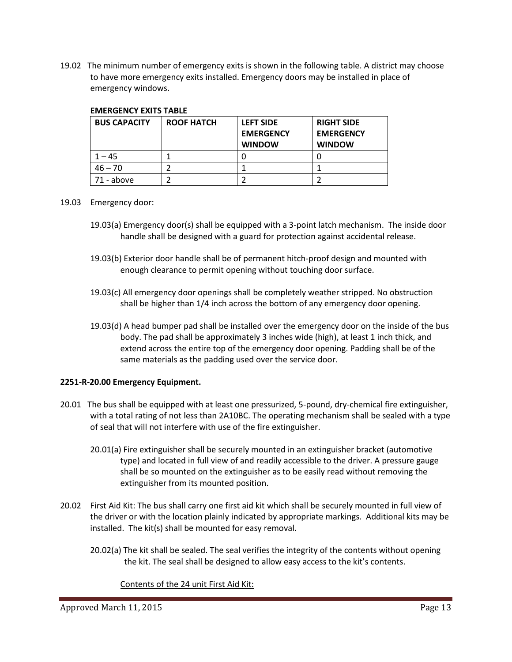19.02 The minimum number of emergency exits is shown in the following table. A district may choose to have more emergency exits installed. Emergency doors may be installed in place of emergency windows.

| <b>BUS CAPACITY</b> | <b>ROOF HATCH</b> | <b>LEFT SIDE</b><br><b>EMERGENCY</b><br><b>WINDOW</b> | <b>RIGHT SIDE</b><br><b>EMERGENCY</b><br><b>WINDOW</b> |
|---------------------|-------------------|-------------------------------------------------------|--------------------------------------------------------|
| $1 - 45$            |                   |                                                       |                                                        |
| $46 - 70$           |                   |                                                       |                                                        |
| 71 - above          |                   |                                                       |                                                        |

### **EMERGENCY EXITS TABLE**

- 19.03 Emergency door:
	- 19.03(a) Emergency door(s) shall be equipped with a 3-point latch mechanism. The inside door handle shall be designed with a guard for protection against accidental release.
	- 19.03(b) Exterior door handle shall be of permanent hitch-proof design and mounted with enough clearance to permit opening without touching door surface.
	- 19.03(c) All emergency door openings shall be completely weather stripped. No obstruction shall be higher than 1/4 inch across the bottom of any emergency door opening.
	- 19.03(d) A head bumper pad shall be installed over the emergency door on the inside of the bus body. The pad shall be approximately 3 inches wide (high), at least 1 inch thick, and extend across the entire top of the emergency door opening. Padding shall be of the same materials as the padding used over the service door.

### **2251-R-20.00 Emergency Equipment.**

- 20.01 The bus shall be equipped with at least one pressurized, 5-pound, dry-chemical fire extinguisher, with a total rating of not less than 2A10BC. The operating mechanism shall be sealed with a type of seal that will not interfere with use of the fire extinguisher.
	- 20.01(a) Fire extinguisher shall be securely mounted in an extinguisher bracket (automotive type) and located in full view of and readily accessible to the driver. A pressure gauge shall be so mounted on the extinguisher as to be easily read without removing the extinguisher from its mounted position.
- 20.02 First Aid Kit: The bus shall carry one first aid kit which shall be securely mounted in full view of the driver or with the location plainly indicated by appropriate markings. Additional kits may be installed. The kit(s) shall be mounted for easy removal.
	- 20.02(a) The kit shall be sealed. The seal verifies the integrity of the contents without opening the kit. The seal shall be designed to allow easy access to the kit's contents.

Contents of the 24 unit First Aid Kit: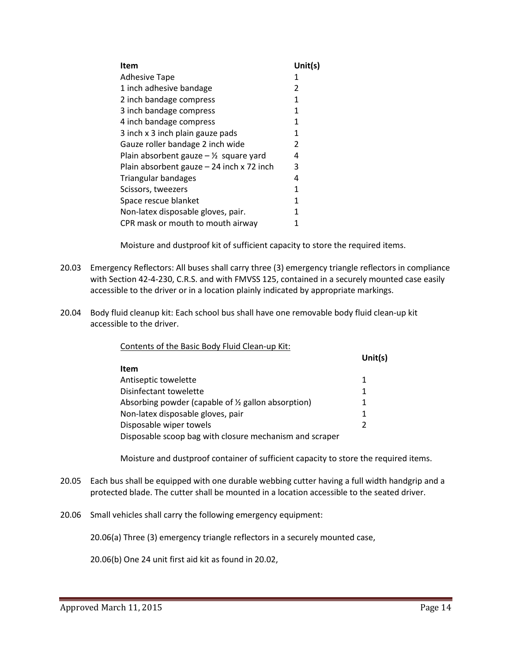| Item                                             | Unit(s) |
|--------------------------------------------------|---------|
| <b>Adhesive Tape</b>                             | 1       |
| 1 inch adhesive bandage                          | 2       |
| 2 inch bandage compress                          | 1       |
| 3 inch bandage compress                          | 1       |
| 4 inch bandage compress                          | 1       |
| 3 inch x 3 inch plain gauze pads                 | 1       |
| Gauze roller bandage 2 inch wide                 | 2       |
| Plain absorbent gauze $-\frac{1}{2}$ square yard | 4       |
| Plain absorbent gauze $-24$ inch x 72 inch       | 3       |
| Triangular bandages                              | 4       |
| Scissors, tweezers                               | 1       |
| Space rescue blanket                             | 1       |
| Non-latex disposable gloves, pair.               | 1       |
| CPR mask or mouth to mouth airway                | 1       |

Moisture and dustproof kit of sufficient capacity to store the required items.

- 20.03 Emergency Reflectors: All buses shall carry three (3) emergency triangle reflectors in compliance with Section 42-4-230, C.R.S. and with FMVSS 125, contained in a securely mounted case easily accessible to the driver or in a location plainly indicated by appropriate markings.
- 20.04 Body fluid cleanup kit: Each school bus shall have one removable body fluid clean-up kit accessible to the driver.

| Contents of the Basic Body Fluid Clean-up Kit: |
|------------------------------------------------|
|------------------------------------------------|

|                                                         | Unit( $s$ )    |
|---------------------------------------------------------|----------------|
| <b>Item</b>                                             |                |
| Antiseptic towelette                                    | 1              |
| Disinfectant towelette                                  | 1              |
| Absorbing powder (capable of 1/2 gallon absorption)     | 1              |
| Non-latex disposable gloves, pair                       | 1              |
| Disposable wiper towels                                 | $\mathfrak{p}$ |
| Disposable scoop bag with closure mechanism and scraper |                |

Moisture and dustproof container of sufficient capacity to store the required items.

- 20.05 Each bus shall be equipped with one durable webbing cutter having a full width handgrip and a protected blade. The cutter shall be mounted in a location accessible to the seated driver.
- 20.06 Small vehicles shall carry the following emergency equipment:

20.06(a) Three (3) emergency triangle reflectors in a securely mounted case,

20.06(b) One 24 unit first aid kit as found in 20.02,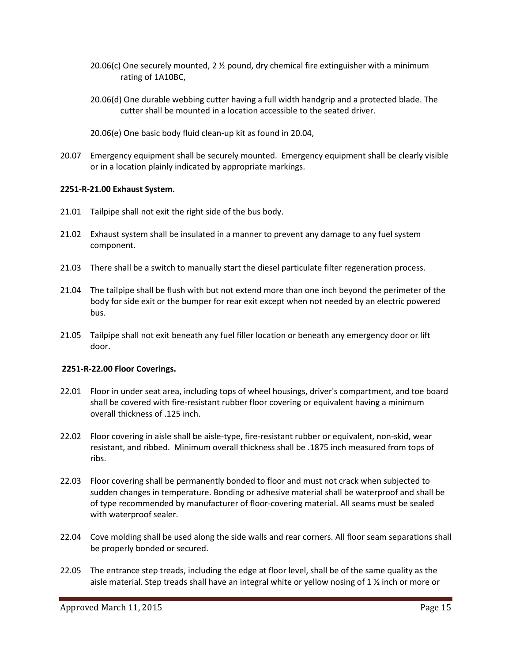- 20.06(c) One securely mounted, 2 ½ pound, dry chemical fire extinguisher with a minimum rating of 1A10BC,
- 20.06(d) One durable webbing cutter having a full width handgrip and a protected blade. The cutter shall be mounted in a location accessible to the seated driver.
- 20.06(e) One basic body fluid clean-up kit as found in 20.04,
- 20.07 Emergency equipment shall be securely mounted. Emergency equipment shall be clearly visible or in a location plainly indicated by appropriate markings.

### **2251-R-21.00 Exhaust System.**

- 21.01 Tailpipe shall not exit the right side of the bus body.
- 21.02 Exhaust system shall be insulated in a manner to prevent any damage to any fuel system component.
- 21.03 There shall be a switch to manually start the diesel particulate filter regeneration process.
- 21.04 The tailpipe shall be flush with but not extend more than one inch beyond the perimeter of the body for side exit or the bumper for rear exit except when not needed by an electric powered bus.
- 21.05 Tailpipe shall not exit beneath any fuel filler location or beneath any emergency door or lift door.

### **2251-R-22.00 Floor Coverings.**

- 22.01 Floor in under seat area, including tops of wheel housings, driver's compartment, and toe board shall be covered with fire-resistant rubber floor covering or equivalent having a minimum overall thickness of .125 inch.
- 22.02 Floor covering in aisle shall be aisle-type, fire-resistant rubber or equivalent, non-skid, wear resistant, and ribbed. Minimum overall thickness shall be .1875 inch measured from tops of ribs.
- 22.03 Floor covering shall be permanently bonded to floor and must not crack when subjected to sudden changes in temperature. Bonding or adhesive material shall be waterproof and shall be of type recommended by manufacturer of floor-covering material. All seams must be sealed with waterproof sealer.
- 22.04 Cove molding shall be used along the side walls and rear corners. All floor seam separations shall be properly bonded or secured.
- 22.05 The entrance step treads, including the edge at floor level, shall be of the same quality as the aisle material. Step treads shall have an integral white or yellow nosing of 1 ½ inch or more or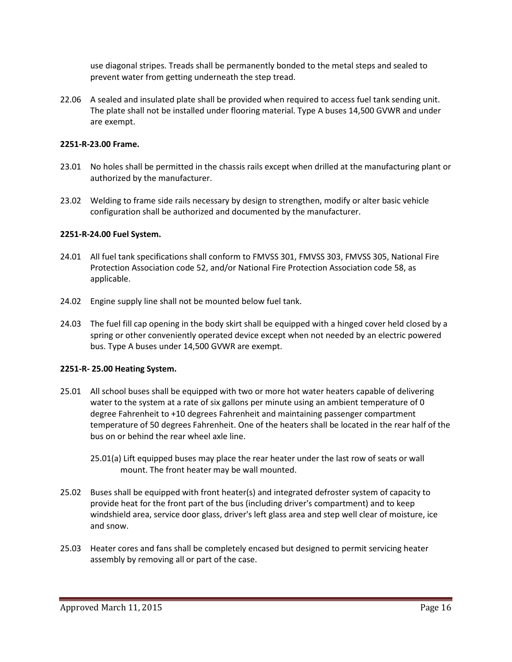use diagonal stripes. Treads shall be permanently bonded to the metal steps and sealed to prevent water from getting underneath the step tread.

22.06 A sealed and insulated plate shall be provided when required to access fuel tank sending unit. The plate shall not be installed under flooring material. Type A buses 14,500 GVWR and under are exempt.

### **2251-R-23.00 Frame.**

- 23.01 No holes shall be permitted in the chassis rails except when drilled at the manufacturing plant or authorized by the manufacturer.
- 23.02 Welding to frame side rails necessary by design to strengthen, modify or alter basic vehicle configuration shall be authorized and documented by the manufacturer.

#### **2251-R-24.00 Fuel System.**

- 24.01 All fuel tank specifications shall conform to FMVSS 301, FMVSS 303, FMVSS 305, National Fire Protection Association code 52, and/or National Fire Protection Association code 58, as applicable.
- 24.02 Engine supply line shall not be mounted below fuel tank.
- 24.03 The fuel fill cap opening in the body skirt shall be equipped with a hinged cover held closed by a spring or other conveniently operated device except when not needed by an electric powered bus. Type A buses under 14,500 GVWR are exempt.

#### **2251-R- 25.00 Heating System.**

- 25.01 All school buses shall be equipped with two or more hot water heaters capable of delivering water to the system at a rate of six gallons per minute using an ambient temperature of 0 degree Fahrenheit to +10 degrees Fahrenheit and maintaining passenger compartment temperature of 50 degrees Fahrenheit. One of the heaters shall be located in the rear half of the bus on or behind the rear wheel axle line.
	- 25.01(a) Lift equipped buses may place the rear heater under the last row of seats or wall mount. The front heater may be wall mounted.
- 25.02 Buses shall be equipped with front heater(s) and integrated defroster system of capacity to provide heat for the front part of the bus (including driver's compartment) and to keep windshield area, service door glass, driver's left glass area and step well clear of moisture, ice and snow.
- 25.03 Heater cores and fans shall be completely encased but designed to permit servicing heater assembly by removing all or part of the case.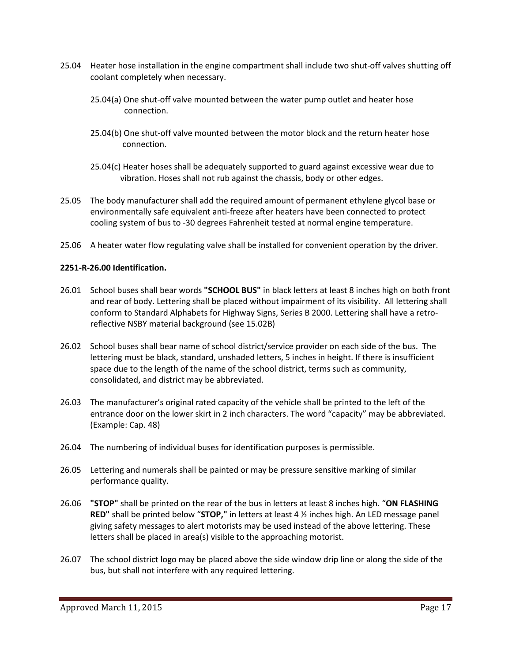- 25.04 Heater hose installation in the engine compartment shall include two shut-off valves shutting off coolant completely when necessary.
	- 25.04(a) One shut-off valve mounted between the water pump outlet and heater hose connection.
	- 25.04(b) One shut-off valve mounted between the motor block and the return heater hose connection.
	- 25.04(c) Heater hoses shall be adequately supported to guard against excessive wear due to vibration. Hoses shall not rub against the chassis, body or other edges.
- 25.05 The body manufacturer shall add the required amount of permanent ethylene glycol base or environmentally safe equivalent anti-freeze after heaters have been connected to protect cooling system of bus to -30 degrees Fahrenheit tested at normal engine temperature.
- 25.06 A heater water flow regulating valve shall be installed for convenient operation by the driver.

### **2251-R-26.00 Identification.**

- 26.01 School buses shall bear words **"SCHOOL BUS"** in black letters at least 8 inches high on both front and rear of body. Lettering shall be placed without impairment of its visibility. All lettering shall conform to Standard Alphabets for Highway Signs, Series B 2000. Lettering shall have a retroreflective NSBY material background (see 15.02B)
- 26.02 School buses shall bear name of school district/service provider on each side of the bus. The lettering must be black, standard, unshaded letters, 5 inches in height. If there is insufficient space due to the length of the name of the school district, terms such as community, consolidated, and district may be abbreviated.
- 26.03 The manufacturer's original rated capacity of the vehicle shall be printed to the left of the entrance door on the lower skirt in 2 inch characters. The word "capacity" may be abbreviated. (Example: Cap. 48)
- 26.04 The numbering of individual buses for identification purposes is permissible.
- 26.05 Lettering and numerals shall be painted or may be pressure sensitive marking of similar performance quality.
- 26.06 **"STOP"** shall be printed on the rear of the bus in letters at least 8 inches high. "**ON FLASHING RED"** shall be printed below "**STOP,"** in letters at least 4 ½ inches high. An LED message panel giving safety messages to alert motorists may be used instead of the above lettering. These letters shall be placed in area(s) visible to the approaching motorist.
- 26.07 The school district logo may be placed above the side window drip line or along the side of the bus, but shall not interfere with any required lettering.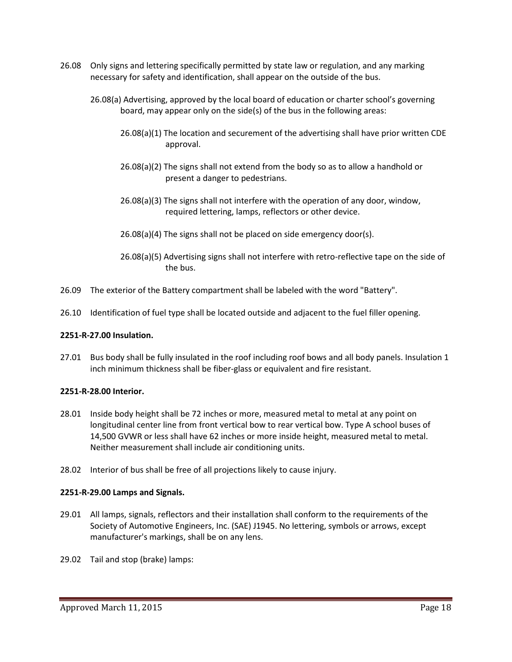- 26.08 Only signs and lettering specifically permitted by state law or regulation, and any marking necessary for safety and identification, shall appear on the outside of the bus.
	- 26.08(a) Advertising, approved by the local board of education or charter school's governing board, may appear only on the side(s) of the bus in the following areas:
		- 26.08(a)(1) The location and securement of the advertising shall have prior written CDE approval.
		- 26.08(a)(2) The signs shall not extend from the body so as to allow a handhold or present a danger to pedestrians.
		- 26.08(a)(3) The signs shall not interfere with the operation of any door, window, required lettering, lamps, reflectors or other device.
		- 26.08(a)(4) The signs shall not be placed on side emergency door(s).
		- 26.08(a)(5) Advertising signs shall not interfere with retro-reflective tape on the side of the bus.
- 26.09 The exterior of the Battery compartment shall be labeled with the word "Battery".
- 26.10 Identification of fuel type shall be located outside and adjacent to the fuel filler opening.

### **2251-R-27.00 Insulation.**

27.01 Bus body shall be fully insulated in the roof including roof bows and all body panels. Insulation 1 inch minimum thickness shall be fiber-glass or equivalent and fire resistant.

### **2251-R-28.00 Interior.**

- 28.01 Inside body height shall be 72 inches or more, measured metal to metal at any point on longitudinal center line from front vertical bow to rear vertical bow. Type A school buses of 14,500 GVWR or less shall have 62 inches or more inside height, measured metal to metal. Neither measurement shall include air conditioning units.
- 28.02 Interior of bus shall be free of all projections likely to cause injury.

### **2251-R-29.00 Lamps and Signals.**

- 29.01 All lamps, signals, reflectors and their installation shall conform to the requirements of the Society of Automotive Engineers, Inc. (SAE) J1945. No lettering, symbols or arrows, except manufacturer's markings, shall be on any lens.
- 29.02 Tail and stop (brake) lamps: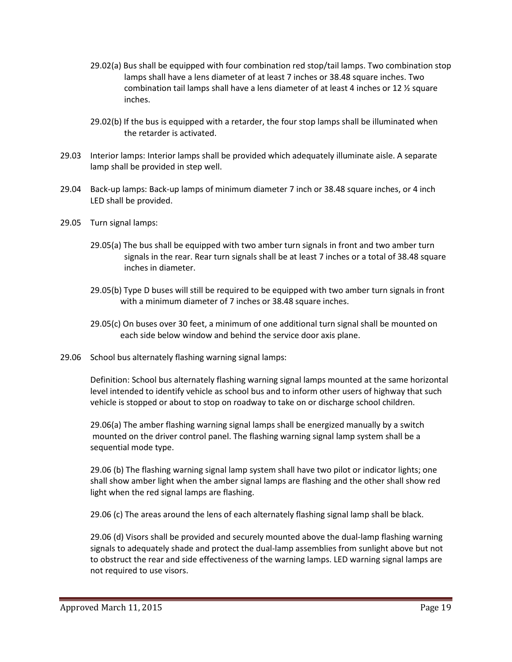- 29.02(a) Bus shall be equipped with four combination red stop/tail lamps. Two combination stop lamps shall have a lens diameter of at least 7 inches or 38.48 square inches. Two combination tail lamps shall have a lens diameter of at least 4 inches or 12 ½ square inches.
- 29.02(b) If the bus is equipped with a retarder, the four stop lamps shall be illuminated when the retarder is activated.
- 29.03 Interior lamps: Interior lamps shall be provided which adequately illuminate aisle. A separate lamp shall be provided in step well.
- 29.04 Back-up lamps: Back-up lamps of minimum diameter 7 inch or 38.48 square inches, or 4 inch LED shall be provided.
- 29.05 Turn signal lamps:
	- 29.05(a) The bus shall be equipped with two amber turn signals in front and two amber turn signals in the rear. Rear turn signals shall be at least 7 inches or a total of 38.48 square inches in diameter.
	- 29.05(b) Type D buses will still be required to be equipped with two amber turn signals in front with a minimum diameter of 7 inches or 38.48 square inches.
	- 29.05(c) On buses over 30 feet, a minimum of one additional turn signal shall be mounted on each side below window and behind the service door axis plane.
- 29.06 School bus alternately flashing warning signal lamps:

Definition: School bus alternately flashing warning signal lamps mounted at the same horizontal level intended to identify vehicle as school bus and to inform other users of highway that such vehicle is stopped or about to stop on roadway to take on or discharge school children.

29.06(a) The amber flashing warning signal lamps shall be energized manually by a switch mounted on the driver control panel. The flashing warning signal lamp system shall be a sequential mode type.

29.06 (b) The flashing warning signal lamp system shall have two pilot or indicator lights; one shall show amber light when the amber signal lamps are flashing and the other shall show red light when the red signal lamps are flashing.

29.06 (c) The areas around the lens of each alternately flashing signal lamp shall be black.

29.06 (d) Visors shall be provided and securely mounted above the dual-lamp flashing warning signals to adequately shade and protect the dual-lamp assemblies from sunlight above but not to obstruct the rear and side effectiveness of the warning lamps. LED warning signal lamps are not required to use visors.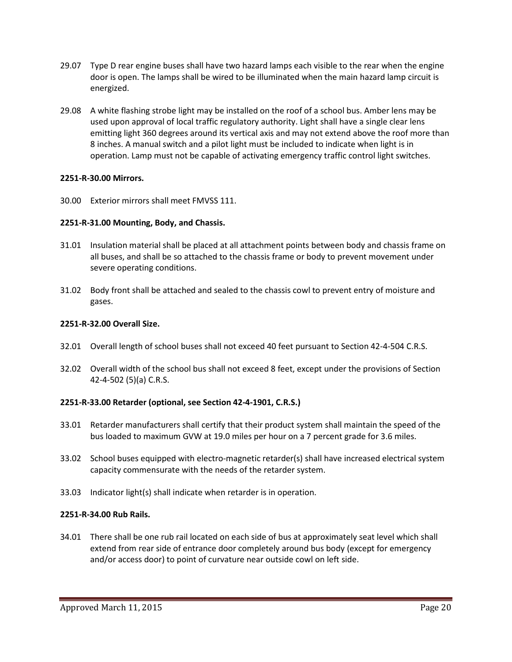- 29.07 Type D rear engine buses shall have two hazard lamps each visible to the rear when the engine door is open. The lamps shall be wired to be illuminated when the main hazard lamp circuit is energized.
- 29.08 A white flashing strobe light may be installed on the roof of a school bus. Amber lens may be used upon approval of local traffic regulatory authority. Light shall have a single clear lens emitting light 360 degrees around its vertical axis and may not extend above the roof more than 8 inches. A manual switch and a pilot light must be included to indicate when light is in operation. Lamp must not be capable of activating emergency traffic control light switches.

### **2251-R-30.00 Mirrors.**

30.00 Exterior mirrors shall meet FMVSS 111.

### **2251-R-31.00 Mounting, Body, and Chassis.**

- 31.01 Insulation material shall be placed at all attachment points between body and chassis frame on all buses, and shall be so attached to the chassis frame or body to prevent movement under severe operating conditions.
- 31.02 Body front shall be attached and sealed to the chassis cowl to prevent entry of moisture and gases.

### **2251-R-32.00 Overall Size.**

- 32.01 Overall length of school buses shall not exceed 40 feet pursuant to Section 42-4-504 C.R.S.
- 32.02 Overall width of the school bus shall not exceed 8 feet, except under the provisions of Section 42-4-502 (5)(a) C.R.S.

### **2251-R-33.00 Retarder (optional, see Section 42-4-1901, C.R.S.)**

- 33.01 Retarder manufacturers shall certify that their product system shall maintain the speed of the bus loaded to maximum GVW at 19.0 miles per hour on a 7 percent grade for 3.6 miles.
- 33.02 School buses equipped with electro-magnetic retarder(s) shall have increased electrical system capacity commensurate with the needs of the retarder system.
- 33.03 Indicator light(s) shall indicate when retarder is in operation.

### **2251-R-34.00 Rub Rails.**

34.01 There shall be one rub rail located on each side of bus at approximately seat level which shall extend from rear side of entrance door completely around bus body (except for emergency and/or access door) to point of curvature near outside cowl on left side.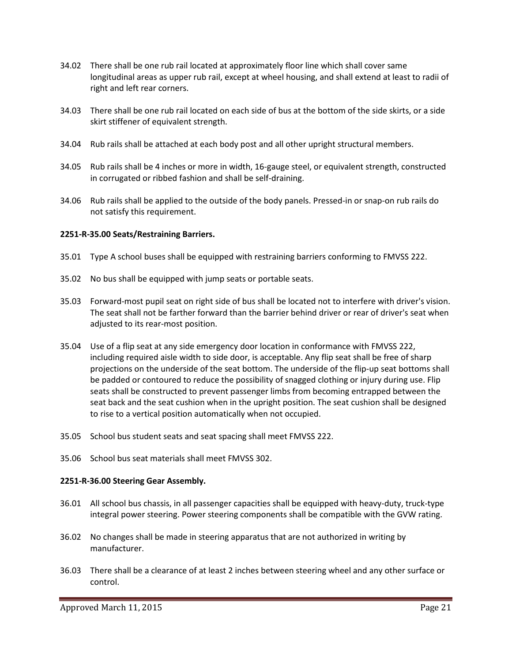- 34.02 There shall be one rub rail located at approximately floor line which shall cover same longitudinal areas as upper rub rail, except at wheel housing, and shall extend at least to radii of right and left rear corners.
- 34.03 There shall be one rub rail located on each side of bus at the bottom of the side skirts, or a side skirt stiffener of equivalent strength.
- 34.04 Rub rails shall be attached at each body post and all other upright structural members.
- 34.05 Rub rails shall be 4 inches or more in width, 16-gauge steel, or equivalent strength, constructed in corrugated or ribbed fashion and shall be self-draining.
- 34.06 Rub rails shall be applied to the outside of the body panels. Pressed-in or snap-on rub rails do not satisfy this requirement.

### **2251-R-35.00 Seats/Restraining Barriers.**

- 35.01 Type A school buses shall be equipped with restraining barriers conforming to FMVSS 222.
- 35.02 No bus shall be equipped with jump seats or portable seats.
- 35.03 Forward-most pupil seat on right side of bus shall be located not to interfere with driver's vision. The seat shall not be farther forward than the barrier behind driver or rear of driver's seat when adjusted to its rear-most position.
- 35.04 Use of a flip seat at any side emergency door location in conformance with FMVSS 222, including required aisle width to side door, is acceptable. Any flip seat shall be free of sharp projections on the underside of the seat bottom. The underside of the flip-up seat bottoms shall be padded or contoured to reduce the possibility of snagged clothing or injury during use. Flip seats shall be constructed to prevent passenger limbs from becoming entrapped between the seat back and the seat cushion when in the upright position. The seat cushion shall be designed to rise to a vertical position automatically when not occupied.
- 35.05 School bus student seats and seat spacing shall meet FMVSS 222.
- 35.06 School bus seat materials shall meet FMVSS 302.

### **2251-R-36.00 Steering Gear Assembly.**

- 36.01 All school bus chassis, in all passenger capacities shall be equipped with heavy-duty, truck-type integral power steering. Power steering components shall be compatible with the GVW rating.
- 36.02 No changes shall be made in steering apparatus that are not authorized in writing by manufacturer.
- 36.03 There shall be a clearance of at least 2 inches between steering wheel and any other surface or control.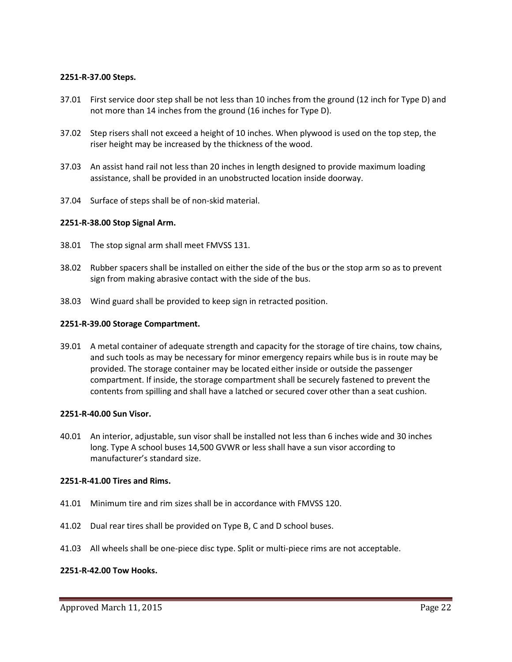### **2251-R-37.00 Steps.**

- 37.01 First service door step shall be not less than 10 inches from the ground (12 inch for Type D) and not more than 14 inches from the ground (16 inches for Type D).
- 37.02 Step risers shall not exceed a height of 10 inches. When plywood is used on the top step, the riser height may be increased by the thickness of the wood.
- 37.03 An assist hand rail not less than 20 inches in length designed to provide maximum loading assistance, shall be provided in an unobstructed location inside doorway.
- 37.04 Surface of steps shall be of non-skid material.

#### **2251-R-38.00 Stop Signal Arm.**

- 38.01 The stop signal arm shall meet FMVSS 131.
- 38.02 Rubber spacers shall be installed on either the side of the bus or the stop arm so as to prevent sign from making abrasive contact with the side of the bus.
- 38.03 Wind guard shall be provided to keep sign in retracted position.

#### **2251-R-39.00 Storage Compartment.**

39.01 A metal container of adequate strength and capacity for the storage of tire chains, tow chains, and such tools as may be necessary for minor emergency repairs while bus is in route may be provided. The storage container may be located either inside or outside the passenger compartment. If inside, the storage compartment shall be securely fastened to prevent the contents from spilling and shall have a latched or secured cover other than a seat cushion.

#### **2251-R-40.00 Sun Visor.**

40.01 An interior, adjustable, sun visor shall be installed not less than 6 inches wide and 30 inches long. Type A school buses 14,500 GVWR or less shall have a sun visor according to manufacturer's standard size.

#### **2251-R-41.00 Tires and Rims.**

- 41.01 Minimum tire and rim sizes shall be in accordance with FMVSS 120.
- 41.02 Dual rear tires shall be provided on Type B, C and D school buses.
- 41.03 All wheels shall be one-piece disc type. Split or multi-piece rims are not acceptable.

### **2251-R-42.00 Tow Hooks.**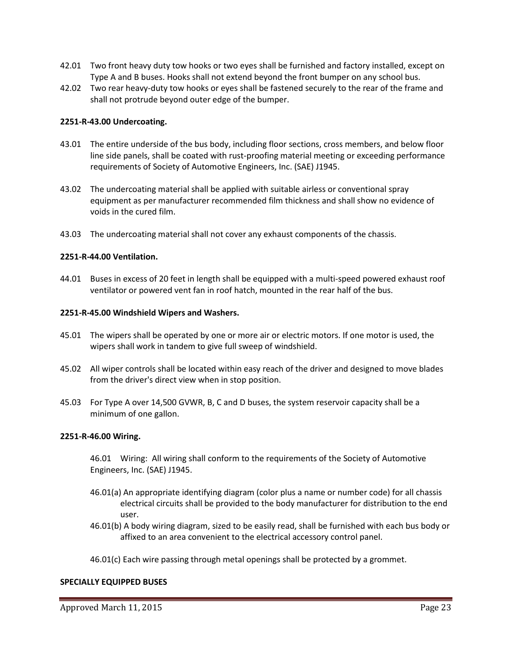- 42.01 Two front heavy duty tow hooks or two eyes shall be furnished and factory installed, except on Type A and B buses. Hooks shall not extend beyond the front bumper on any school bus.
- 42.02 Two rear heavy-duty tow hooks or eyes shall be fastened securely to the rear of the frame and shall not protrude beyond outer edge of the bumper.

### **2251-R-43.00 Undercoating.**

- 43.01 The entire underside of the bus body, including floor sections, cross members, and below floor line side panels, shall be coated with rust-proofing material meeting or exceeding performance requirements of Society of Automotive Engineers, Inc. (SAE) J1945.
- 43.02 The undercoating material shall be applied with suitable airless or conventional spray equipment as per manufacturer recommended film thickness and shall show no evidence of voids in the cured film.
- 43.03 The undercoating material shall not cover any exhaust components of the chassis.

#### **2251-R-44.00 Ventilation.**

44.01 Buses in excess of 20 feet in length shall be equipped with a multi-speed powered exhaust roof ventilator or powered vent fan in roof hatch, mounted in the rear half of the bus.

#### **2251-R-45.00 Windshield Wipers and Washers.**

- 45.01 The wipers shall be operated by one or more air or electric motors. If one motor is used, the wipers shall work in tandem to give full sweep of windshield.
- 45.02 All wiper controls shall be located within easy reach of the driver and designed to move blades from the driver's direct view when in stop position.
- 45.03 For Type A over 14,500 GVWR, B, C and D buses, the system reservoir capacity shall be a minimum of one gallon.

#### **2251-R-46.00 Wiring.**

46.01 Wiring: All wiring shall conform to the requirements of the Society of Automotive Engineers, Inc. (SAE) J1945.

- 46.01(a) An appropriate identifying diagram (color plus a name or number code) for all chassis electrical circuits shall be provided to the body manufacturer for distribution to the end user.
- 46.01(b) A body wiring diagram, sized to be easily read, shall be furnished with each bus body or affixed to an area convenient to the electrical accessory control panel.

46.01(c) Each wire passing through metal openings shall be protected by a grommet.

#### **SPECIALLY EQUIPPED BUSES**